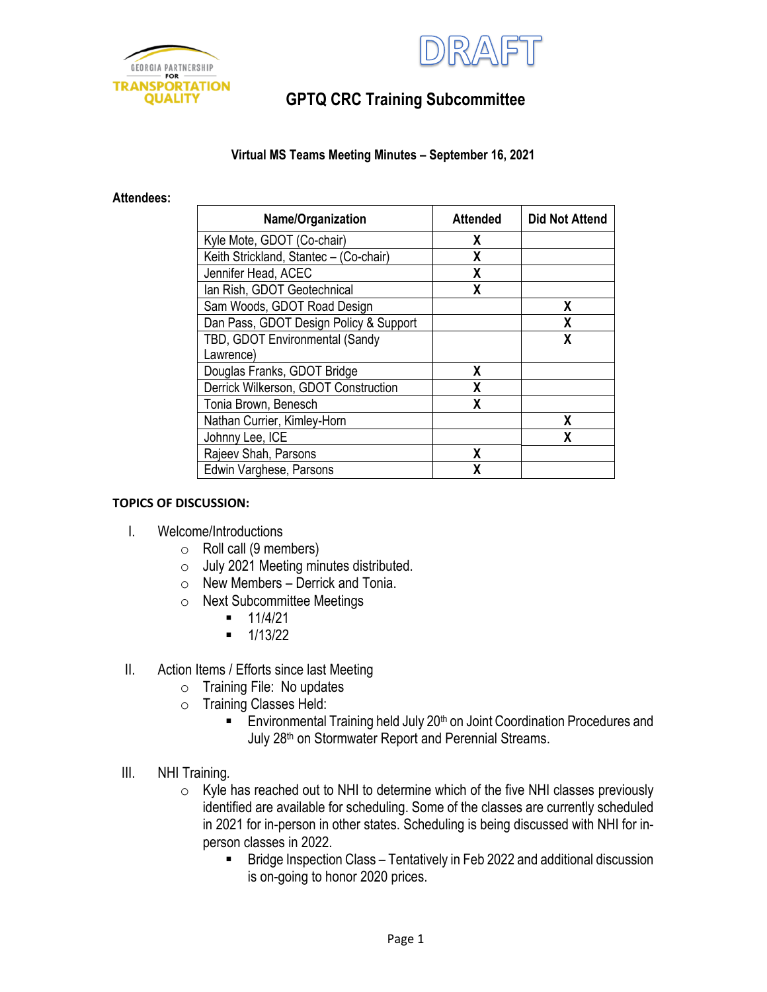



# **GPTQ CRC Training Subcommittee**

### **Virtual MS Teams Meeting Minutes – September 16, 2021**

#### **Attendees:**

| Name/Organization                      | <b>Attended</b> | <b>Did Not Attend</b> |
|----------------------------------------|-----------------|-----------------------|
| Kyle Mote, GDOT (Co-chair)             | X               |                       |
| Keith Strickland, Stantec - (Co-chair) | X               |                       |
| Jennifer Head, ACEC                    | X               |                       |
| Ian Rish, GDOT Geotechnical            | χ               |                       |
| Sam Woods, GDOT Road Design            |                 | χ                     |
| Dan Pass, GDOT Design Policy & Support |                 | Χ                     |
| TBD, GDOT Environmental (Sandy         |                 | χ                     |
| Lawrence)                              |                 |                       |
| Douglas Franks, GDOT Bridge            | Χ               |                       |
| Derrick Wilkerson, GDOT Construction   | x               |                       |
| Tonia Brown, Benesch                   | X               |                       |
| Nathan Currier, Kimley-Horn            |                 | X                     |
| Johnny Lee, ICE                        |                 | χ                     |
| Rajeev Shah, Parsons                   | X               |                       |
| Edwin Varghese, Parsons                | x               |                       |

### **TOPICS OF DISCUSSION:**

- I. Welcome/Introductions
	- $\circ$  Roll call (9 members)
	- o July 2021 Meeting minutes distributed.
	- $\circ$  New Members Derrick and Tonia.
	- o Next Subcommittee Meetings
		- $-11/4/21$
		- $-1/13/22$
- II. Action Items / Efforts since last Meeting
	- o Training File: No updates
	- o Training Classes Held:
		- **Environmental Training held July 20th on Joint Coordination Procedures and** July 28<sup>th</sup> on Stormwater Report and Perennial Streams.
- III. NHI Training*.* 
	- $\circ$  Kyle has reached out to NHI to determine which of the five NHI classes previously identified are available for scheduling. Some of the classes are currently scheduled in 2021 for in-person in other states. Scheduling is being discussed with NHI for inperson classes in 2022.
		- Bridge Inspection Class Tentatively in Feb 2022 and additional discussion is on-going to honor 2020 prices.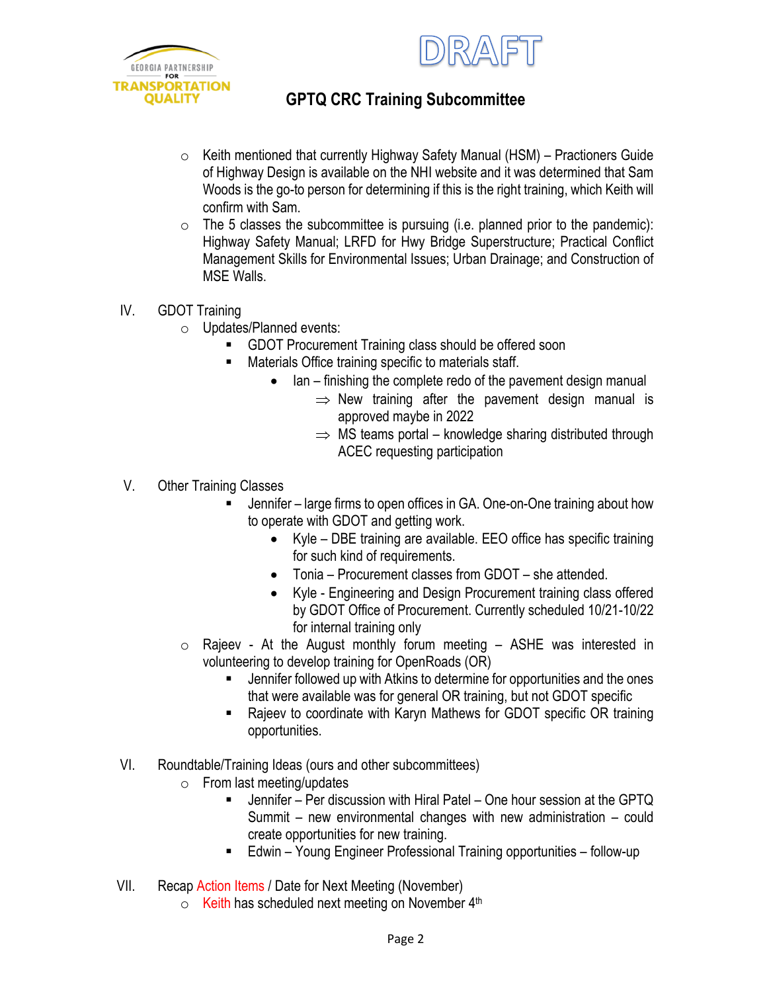



# **GPTQ CRC Training Subcommittee**

- $\circ$  Keith mentioned that currently Highway Safety Manual (HSM) Practioners Guide of Highway Design is available on the NHI website and it was determined that Sam Woods is the go-to person for determining if this is the right training, which Keith will confirm with Sam.
- $\circ$  The 5 classes the subcommittee is pursuing (i.e. planned prior to the pandemic): Highway Safety Manual; LRFD for Hwy Bridge Superstructure; Practical Conflict Management Skills for Environmental Issues; Urban Drainage; and Construction of MSE Walls.
- IV. GDOT Training
	- o Updates/Planned events:
		- GDOT Procurement Training class should be offered soon
		- Materials Office training specific to materials staff.
			- Ian finishing the complete redo of the pavement design manual
				- $\Rightarrow$  New training after the pavement design manual is approved maybe in 2022
				- $\Rightarrow$  MS teams portal knowledge sharing distributed through ACEC requesting participation
- V. Other Training Classes
	- Jennifer large firms to open offices in GA. One-on-One training about how to operate with GDOT and getting work.
		- Kyle DBE training are available. EEO office has specific training for such kind of requirements.
		- Tonia Procurement classes from GDOT she attended.
		- Kyle Engineering and Design Procurement training class offered by GDOT Office of Procurement. Currently scheduled 10/21-10/22 for internal training only
	- $\circ$  Rajeev At the August monthly forum meeting  $-$  ASHE was interested in volunteering to develop training for OpenRoads (OR)
		- Jennifer followed up with Atkins to determine for opportunities and the ones that were available was for general OR training, but not GDOT specific
		- Rajeev to coordinate with Karyn Mathews for GDOT specific OR training opportunities.
- VI. Roundtable/Training Ideas (ours and other subcommittees)
	- o From last meeting/updates
		- Jennifer Per discussion with Hiral Patel One hour session at the GPTQ Summit – new environmental changes with new administration – could create opportunities for new training.
		- Edwin Young Engineer Professional Training opportunities follow-up
- VII. Recap Action Items / Date for Next Meeting (November)
	- o Keith has scheduled next meeting on November 4th